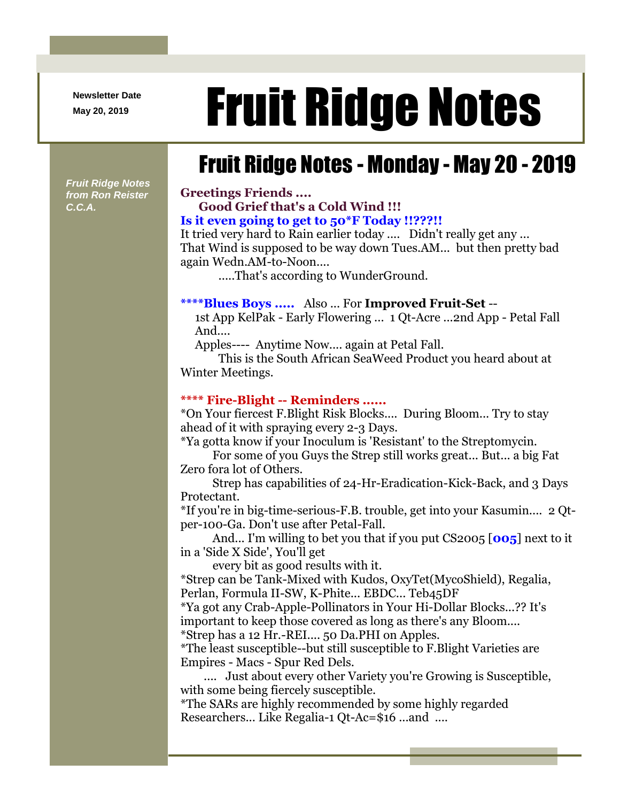**Newsletter Date**

# Newsletter Date **Fruit Ridge Notes**

## Fruit Ridge Notes - Monday - May 20 - 2019

*Fruit Ridge Notes from Ron Reister C.C.A.*

#### **Greetings Friends .... Good Grief that's a Cold Wind !!! Is it even going to get to 50\*F Today !!???!!**

It tried very hard to Rain earlier today .... Didn't really get any ... That Wind is supposed to be way down Tues.AM... but then pretty bad again Wedn.AM-to-Noon....

.....That's according to WunderGround.

#### **\*\*\*\*Blues Boys .....** Also ... For **Improved Fruit-Set** --

1st App KelPak - Early Flowering ... 1 Qt-Acre ...2nd App - Petal Fall And....

Apples---- Anytime Now.... again at Petal Fall.

This is the South African SeaWeed Product you heard about at Winter Meetings.

#### **\*\*\*\* Fire-Blight -- Reminders ......**

\*On Your fiercest F.Blight Risk Blocks.... During Bloom... Try to stay ahead of it with spraying every 2-3 Days.

\*Ya gotta know if your Inoculum is 'Resistant' to the Streptomycin.

For some of you Guys the Strep still works great... But... a big Fat Zero fora lot of Others.

Strep has capabilities of 24-Hr-Eradication-Kick-Back, and 3 Days Protectant.

\*If you're in big-time-serious-F.B. trouble, get into your Kasumin.... 2 Qtper-100-Ga. Don't use after Petal-Fall.

And... I'm willing to bet you that if you put CS2005 [**005**] next to it in a 'Side X Side', You'll get

every bit as good results with it.

\*Strep can be Tank-Mixed with Kudos, OxyTet(MycoShield), Regalia, Perlan, Formula II-SW, K-Phite... EBDC... Teb45DF

\*Ya got any Crab-Apple-Pollinators in Your Hi-Dollar Blocks...?? It's important to keep those covered as long as there's any Bloom....

\*Strep has a 12 Hr.-REI.... 50 Da.PHI on Apples.

\*The least susceptible--but still susceptible to F.Blight Varieties are Empires - Macs - Spur Red Dels.

.... Just about every other Variety you're Growing is Susceptible, with some being fiercely susceptible.

\*The SARs are highly recommended by some highly regarded Researchers... Like Regalia-1 Qt-Ac=\$16 ...and ....